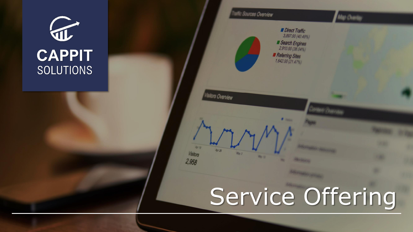



# Service Offering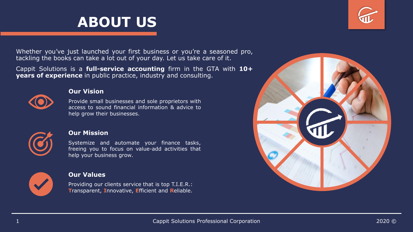

Whether you've just launched your first business or you're a seasoned pro, tackling the books can take a lot out of your day. Let us take care of it.

Cappit Solutions is a **full-service accounting** firm in the GTA with **10+ years of experience** in public practice, industry and consulting.



#### **Our Vision**

Provide small businesses and sole proprietors with access to sound financial information & advice to help grow their businesses.



#### **Our Mission**

Systemize and automate your finance tasks, freeing you to focus on value-add activities that help your business grow.



#### **Our Values**

Providing our clients service that is top T.I.E.R.: **T**ransparent, **I**nnovative, **E**fficient and **R**eliable.

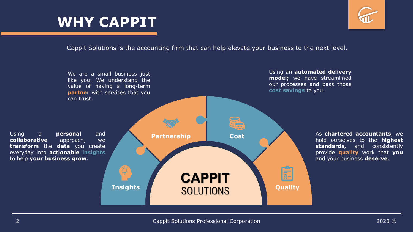## **WHY CAPPIT**



Cappit Solutions is the accounting firm that can help elevate your business to the next level.

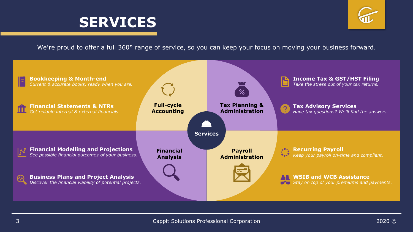



We're proud to offer a full 360° range of service, so you can keep your focus on moving your business forward.

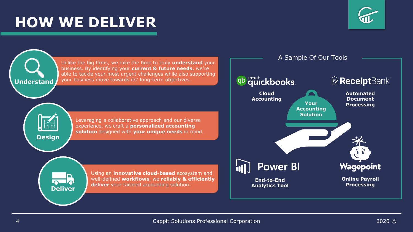### **HOW WE DELIVER**



Unlike the big firms, we take the time to truly **understand** your business. By identifying your **current & future needs**, we're able to tackle your most urgent challenges while also supporting your business move towards its' long-term objectives. **Understand Cloud**  Leveraging a collaborative approach and our diverse experience, we craft a **personalized accounting solution** designed with **your unique needs** in mind. **Design** ill Using an **innovative cloud-based** ecosystem and well-defined **workflows**, we **reliably & efficiently deliver** your tailored accounting solution. **Deliver**